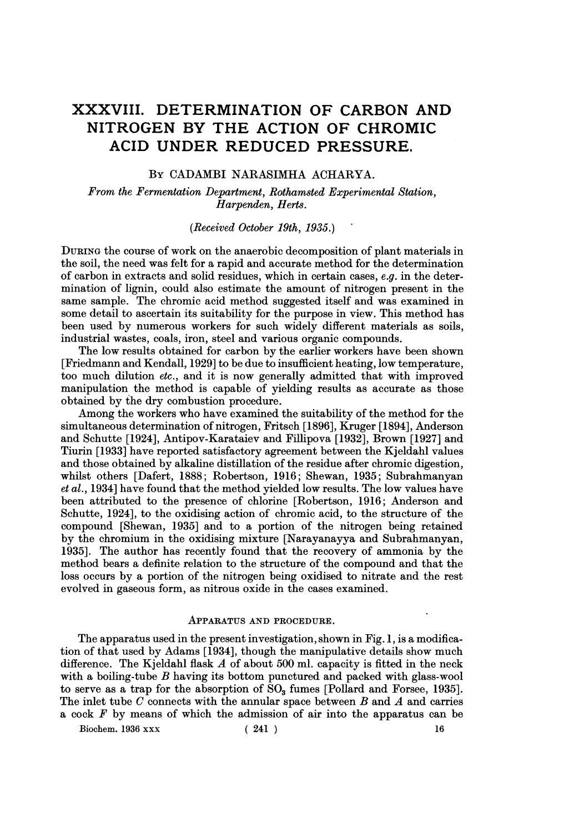# XXXVIII. DETERMINATION OF CARBON AND NITROGEN BY THE ACTION OF CHROMIC ACID UNDER REDUCED PRESSURE.

# BY CADAMBI NARASIMHA ACHARYA.

From the Fermentation Department, Rothamsted Experimental Station, Harpenden, Herts.

#### (Received October 19th, 1935.)

DURING the course of work on the anaerobic decomposition of plant materials in the soil, the need was felt for a rapid and accurate method for the determination of carbon in extracts and solid residues, which in certain cases, e.g. in the determination of lignin, could also estimate the amount of nitrogen present in the same sample. The chromic acid method suggested itself and was examined in some detail to ascertain its suitability for the purpose in view. This method has been used by numerous workers for such widely different materials as soils, industrial wastes, coals, iron, steel and various organic compounds.

The low results obtained for carbon by the earlier workers have been shown [Friedmann and Kendall, 1929] to be due to insufficient heating, low temperature, too much dilution etc., and it is now generally admitted that with improved manipulation the method is capable of yielding results as accurate as those obtained by the dry combustion procedure.

Among the workers who have examined the suitability of the method for the simultaneous determination of nitrogen, Fritsch [1896], Kruger [1894], Anderson and Schutte [1924], Antipov-Karataiev and Fillipova [1932], Brown [1927] and Tiurin [1933] have reported satisfactory agreement between the Kjeldahl values and those obtained by alkaline distillation of the residue after chromic digestion, whilst others [Dafert, 1888; Robertson, 1916; Shewan, 1935; Subrahmanyan et al., 1934] have found that the method yielded low results. The low values have been attributed to the presence of chlorine [Robertson, 1916; Anderson and Schutte, 1924], to the oxidising action of chromic acid, to the structure of the compound [Shewan, 1935] and to a portion of the nitrogen being retained by the chromium in the oxidising mixture [Narayanayya and Subrahmanyan, 1935]. The author has recently found that the recovery of ammonia by the method bears a definite relation to the structure of the compound and that the loss occurs by a portion of the nitrogen being oxidised to nitrate and the rest evolved in gaseous form, as nitrous oxide in the cases examined.

#### APPARATUS AND PROCEDURE.

The apparatus used in the present investigation, shown in Fig. 1, is a modification of that used by Adams [1934], though the manipulative details show much difference. The Kjeldahl flask  $A$  of about 500 ml. capacity is fitted in the neck with a boiling-tube  $B$  having its bottom punctured and packed with glass-wool to serve as a trap for the absorption of  $\text{SO}_3$  fumes [Pollard and Forsee, 1935]. The inlet tube  $C$  connects with the annular space between  $B$  and  $A$  and carries a cock  $F$  by means of which the admission of air into the apparatus can be

Biochem. 1936 xxx (241) 16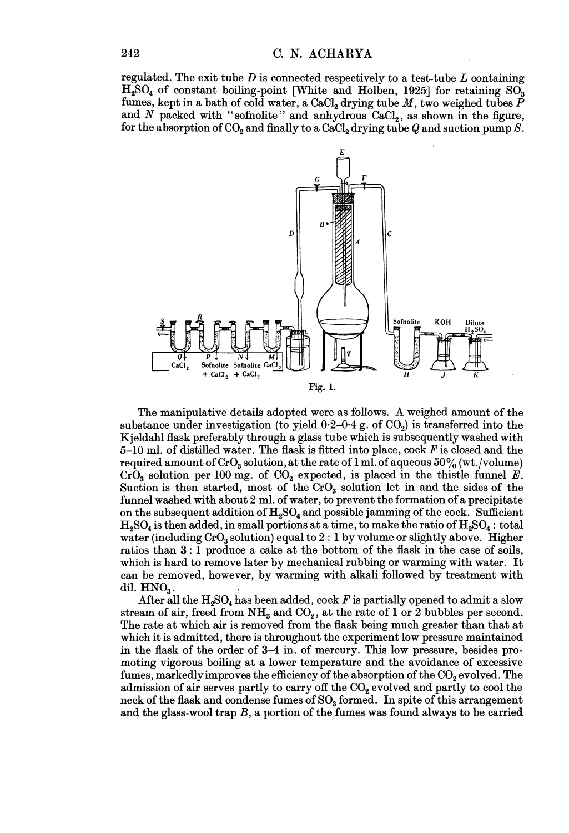regulated. The exit tube  $D$  is connected respectively to a test-tube  $L$  containing  $H<sub>2</sub>SO<sub>4</sub>$  of constant boiling-point [White and Holben, 1925] for retaining SO<sub>3</sub> fumes, kept in a bath of cold water, a CaCl<sub>2</sub> drying tube  $M$ , two weighed tubes  $\overline{P}$ and  $N$  packed with "sofnolite" and anhydrous  $CaCl<sub>2</sub>$ , as shown in the figure, for the absorption of  $CO_2$  and finally to a  $CaCl_2$  drying tube Q and suction pump S.



The manipulative details adopted were as follows. A weighed amount of the substance under investigation (to yield  $0.2{\text -}0.4$  g. of CO<sub>2</sub>) is transferred into the Kjeldahl flask preferably through a glass tube which is subsequently washed with 5-10 ml. of distilled water. The flask is fitted into place, cock  $F$  is closed and the required amount of  $CrO<sub>3</sub>$  solution, at the rate of 1 ml. of aqueous  $50\%$  (wt./volume) CrO<sub>3</sub> solution per 100 mg. of CO<sub>2</sub> expected, is placed in the thistle funnel E. Suction is then started, most of the  $CrO<sub>3</sub>$  solution let in and the sides of the funnel washed with about 2 ml. of water, to prevent the formation of a precipitate on the subsequent addition of  $H_2SO_4$  and possible jamming of the cock. Sufficient  $H_2SO_4$  is then added, in small portions at a time, to make the ratio of  $H_2SO_4$ : total water (including  $CrO<sub>3</sub>$  solution) equal to  $2:1$  by volume or slightly above. Higher ratios than 3: <sup>1</sup> produce a cake at the bottom of the flask in the case of soils, which is hard to remove later by mechanical rubbing or warming with water. It can be removed, however, by warming with alkali followed by treatment with dil.  $HNO<sub>3</sub>$ .

After all the  $H_2SO_4$  has been added, cock F is partially opened to admit a slow stream of air, freed from  $NH_a$  and  $CO_2$ , at the rate of 1 or 2 bubbles per second. The rate at which air is removed from the flask being much greater than that at which it is admitted, there is throughout the experiment low pressure maintained in the flask of the order of 3-4 in. of mercury. This low pressure, besides promoting vigorous boiling at a lower temperature and the avoidance of excessive fumes, markedly improves the efficiency of the absorption of the  $CO<sub>2</sub>$  evolved. The admission of air serves partly to carry off the  $CO<sub>2</sub>$  evolved and partly to cool the neck of the flask and condense fumes of  $\text{SO}_3$  formed. In spite of this arrangement and the glass-wool trap  $B$ , a portion of the fumes was found always to be carried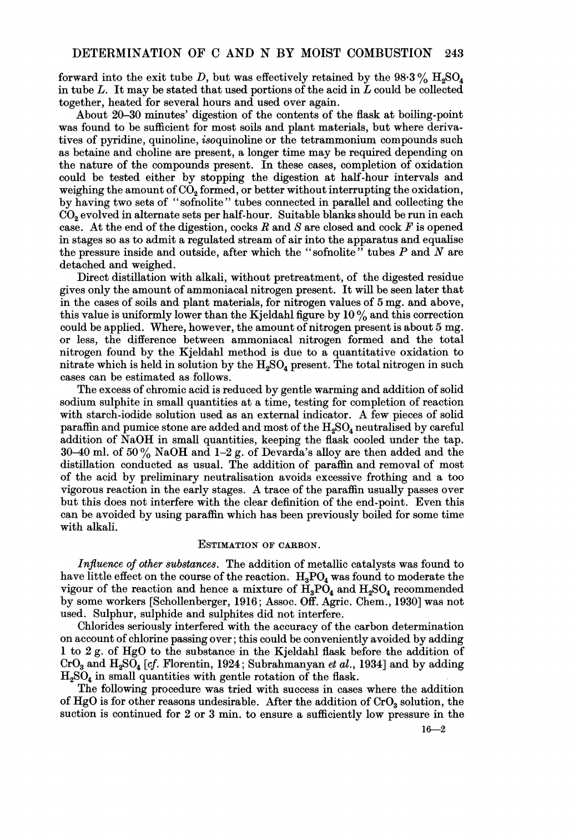forward into the exit tube D, but was effectively retained by the  $98.3\%$  H<sub>2</sub>SO<sub>4</sub> in tube  $L$ . It may be stated that used portions of the acid in  $L$  could be collected together, heated for several hours and used over again.

About 20-30 minutes' digestion of the contents of the flask at boiling-point was found to be sufficient for most soils and plant materials, but where derivatives of pyridine, quinoline, isoquinoline or the tetrammonium compounds such as betaine and choline are present, a longer time may be required depending on the nature of the compounds present. In these cases, completion of oxidation could be tested either by stopping the digestion at half-hour intervals and weighing the amount of  $CO<sub>2</sub>$  formed, or better without interrupting the oxidation, by having two sets of " sofnolite " tubes connected in parallel and collecting the CO<sub>2</sub> evolved in alternate sets per half-hour. Suitable blanks should be run in each case. At the end of the digestion, cocks  $R$  and  $S$  are closed and cock  $F$  is opened in stages so as to admit a regulated stream of air into the apparatus and equalise the pressure inside and outside, after which the "sofnolite" tubes  $P$  and  $N$  are detached and weighed.

Direct distillation with alkali, without pretreatment, of the digested residue gives only the amount of ammoniacal nitrogen present. It will be seen later that in the cases of soils and plant materials, for nitrogen values of 5 mg. and above, this value is uniformly lower than the Kjeldahl figure by  $10\%$  and this correction could be applied. Where, however, the amount of nitrogen present is about 5 mg. or less, the difference between ammoniacal nitrogen formed and the total nitrogen found by the Kjeldahl method is due to a quantitative oxidation to nitrate which is held in solution by the  $H_2SO_4$  present. The total nitrogen in such cases can be estimated as follows.

The excess of chromic acid is reduced by gentle warming and addition of solid sodium sulphite in small quantities at a time, testing for completion of reaction with starch-iodide solution used as an external indicator. A few pieces of solid paraffin and pumice stone are added and most of the  $H_2SO_4$  neutralised by careful addition of NaOH in small quantities, keeping the flask cooled under the tap. 30–40 ml. of 50% NaOH and 1–2 g. of Devarda's alloy are then added and the distillation conducted as usual. The addition of paraffin and removal of most of the acid by preliminary neutralisation avoids excessive frothing and a too vigorous reaction in the early stages. A trace of the paraffin usually passes over but this does not interfere with the clear definition of the end-point. Even this can be avoided by using paraffin which has been previously boiled for some time with alkali.

## ESTIMATION OF CARBON.

Influence of other substances. The addition of metallic catalysts was found to have little effect on the course of the reaction.  $H_3PO_4$  was found to moderate the vigour of the reaction and hence a mixture of  $\text{H}_{3}\text{P}\text{O}_{4}$  and  $\text{H}_{2}\text{SO}_{4}$  recommended by some workers [Schollenberger, 1916; Assoc. Off. Agric. Chem., 1930] was not used. Sulphur, sulphide and sulphites did not interfere.

Chlorides seriously interfered with the accuracy of the carbon determination on account of chlorine passing over; this could be conveniently avoided by adding <sup>1</sup> to <sup>2</sup> g. of HgO to the substance in the Kjeldahl flask before the addition of  $CrO<sub>3</sub>$  and  $H<sub>2</sub>SO<sub>4</sub>$  [cf. Florentin, 1924; Subrahmanyan et al., 1934] and by adding  $H<sub>2</sub>SO<sub>4</sub>$  in small quantities with gentle rotation of the flask.

The following procedure was tried with success in cases where the addition of  $HgO$  is for other reasons undesirable. After the addition of  $CrO<sub>3</sub>$  solution, the suction is continued for 2 or 3 min. to ensure a sufficiently low pressure in the

 $16 - 2$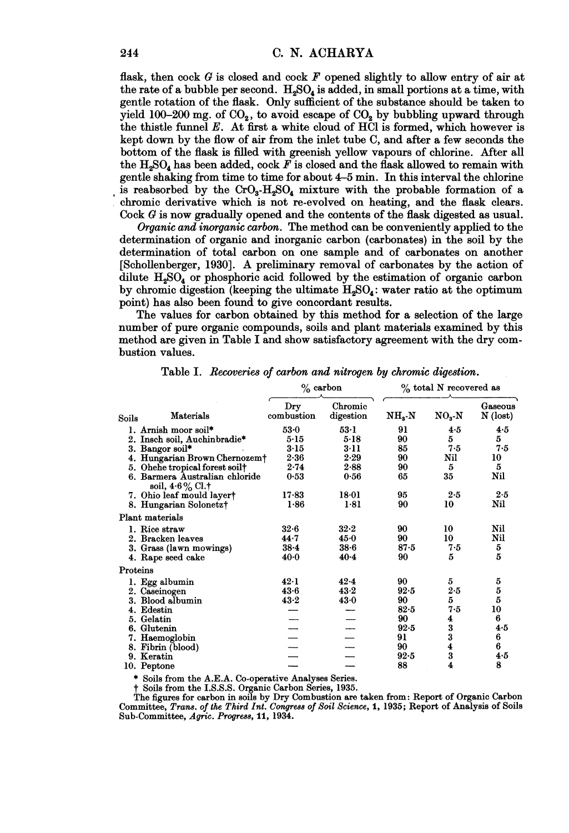flask, then cock  $G$  is closed and cock  $F$  opened slightly to allow entry of air at the rate of a bubble per second.  $H_2SO_4$  is added, in small portions at a time, with gentle rotation of the flask. Only sufficient of the substance should be taken to yield 100-200 mg. of  $CO<sub>2</sub>$ , to avoid escape of  $CO<sub>2</sub>$  by bubbling upward through the thistle funnel  $E$ . At first a white cloud of HCI is formed, which however is kept down by the flow of air from the inlet tube C, and after a few seconds the bottom of the flask is filled with greenish yellow vapours of chlorine. After all the  $H<sub>2</sub>SO<sub>4</sub>$  has been added, cock F is closed and the flask allowed to remain with gentle shaking from time to time for about 4-5 min. In this interval the chlorine is reabsorbed by the  $CrO<sub>3</sub>-H<sub>2</sub>SO<sub>4</sub>$  mixture with the probable formation of a chromic derivative which is not re-evolved on heating, and the flask clears. Cock G is now gradually opened and the contents of the flask digested as usual.

Organic and inorganic carbon. The method can be conveniently applied to the determination of organic and inorganic carbon (carbonates) in the soil by the determination of total carbon on one sample and of carbonates on another [Schollenberger, 1930]. A preliminary removal of carbonates by the action of dilute  $H_2SO_4$  or phosphoric acid followed by the estimation of organic carbon by chromic digestion (keeping the ultimate  $H_2SO_4$ : water ratio at the optimum point) has also been found to give concordant results.

The values for carbon obtained by this method for a selection of the large number of pure organic compounds, soils and plant materials examined by this method are given in Table I and show satisfactory agreement with the dry combustion values.

|                                                   | $\%$ carbon       |                      | % total N recovered as |                         |                       |
|---------------------------------------------------|-------------------|----------------------|------------------------|-------------------------|-----------------------|
| Materials<br>Soils                                | Dry<br>combustion | Chromic<br>digestion | $NHs$ -N               | $NO_3-N$                | Gaseous<br>$N$ (lost) |
| 1. Arnish moor soil*                              | $53-0$            | $53-1$               | 91                     | 4.5                     | 4.5                   |
| 2. Insch soil, Auchinbradie*                      | $5-15$            | 5.18                 | 90                     | 5                       | 5                     |
| 3. Bangor soil*                                   | $3-15$            | $3-11$               | 85                     | 7.5                     | 7.5                   |
| 4. Hungarian Brown Chernozem <sup>+</sup>         | 2.36              | 2.29                 | 90                     | Nil                     | 10                    |
| 5. Ohehe tropical forest soil†                    | $2 - 74$          | 2.88                 | 90                     | 5                       | 5                     |
| 6. Barmera Australian chloride<br>soil, 4.6% Cl.† | 0.53              | 0.56                 | 65                     | 35                      | Nil                   |
| 7. Ohio leaf mould layer†                         | $17 - 83$         | $18 - 01$            | 95                     | 2.5                     | 2.5                   |
| 8. Hungarian Solonetz†                            | 1.86              | 1.81                 | 90                     | 10                      | Nil                   |
| Plant materials                                   |                   |                      |                        |                         |                       |
| 1. Rice straw                                     | $32-6$            | $32-2$               | 90                     | 10                      | Nil                   |
| 2. Bracken leaves                                 | 44.7              | 45.0                 | 90                     | 10                      | Nil                   |
| 3. Grass (lawn mowings)                           | $38 - 4$          | $38 - 6$             | $87-5$                 | 7.5                     | 5                     |
| 4. Rape seed cake                                 | $40 - 0$          | $40 - 4$             | 90                     | 5                       | 5                     |
| Proteins                                          |                   |                      |                        |                         |                       |
| 1. Egg albumin                                    | $42-1$            | 42.4                 | 90                     | 5                       | 5                     |
| 2. Caseinogen                                     | 43.6              | $43 - 2$             | 92.5                   | 2.5                     | $\boldsymbol{5}$      |
| 3. Blood albumin                                  | $43 - 2$          | $43-0$               | 90                     | 5                       | 5                     |
| 4. Edestin                                        |                   |                      | $82 - 5$               | 7.5                     | 10                    |
| 5. Gelatin                                        |                   |                      | 90                     | 4                       | 6                     |
| 6. Glutenin                                       |                   |                      | $92-5$                 | $\frac{3}{3}$           | 4.5                   |
| 7. Haemoglobin                                    |                   |                      | 91                     |                         | 6                     |
| 8. Fibrin (blood)                                 |                   |                      | 90                     | $\overline{\mathbf{4}}$ | 6                     |
| 9. Keratin                                        |                   |                      | $92-5$                 | 3                       | 4.5                   |
| 10. Peptone                                       |                   |                      | 88                     | $\overline{\bf 4}$      | 8                     |

Table I. Recoveries of carbon and nitrogen by chromic digestion.

\* Soils from the A.E.A. Co-operative Analyses Series.

t Soils from the I.S.S.S. Organic Carbon Series, 1935.

The figures for carbon in soils by Dry Combustion are taken from: Report of Organic Carbon Committee, Trans. of the Third Int. Congress of Soil Science, 1, 1935; Report of Analysis of Soils Sub-Committee, Agric. Progress, 11, 1934.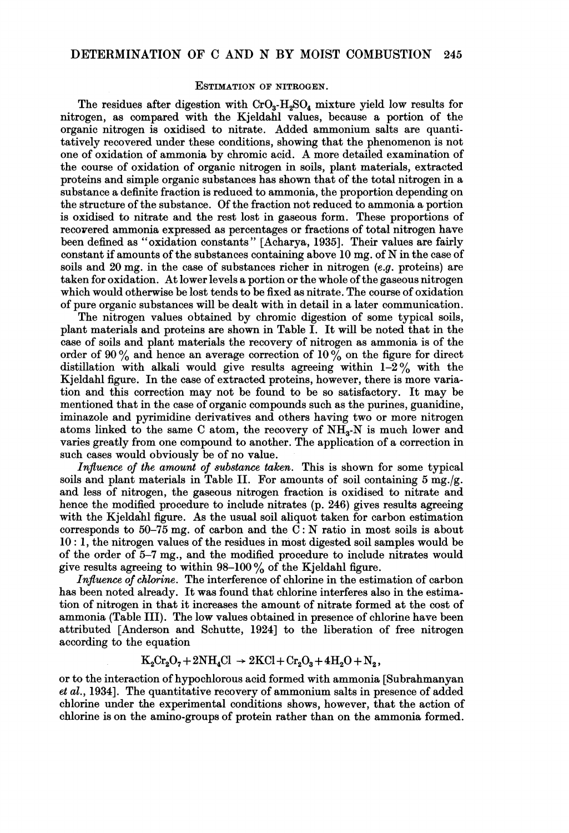#### ESTIMATION OF NITROGEN.

The residues after digestion with  $CrO<sub>3</sub>-H<sub>2</sub>SO<sub>4</sub>$  mixture yield low results for nitrogen, as compared with the Kjeldahl values, because a portion of the organic nitrogen is oxidised to nitrate. Added ammonium salts are quantitatively recovered under these conditions, showing that the phenomenon is not one of oxidation of ammonia by chromic acid. A more detailed examination of the course of oxidation of organic nitrogen in soils, plant materials, extracted proteins and simple organic substances has shown that of the total nitrogen in a substance a definite fraction is reduced to ammonia, the proportion depending on the structure of the substance. Of the fraction not reduced to ammonia a portion is oxidised to nitrate and the rest lost in gaseous form. These proportions of recovered ammonia expressed as percentages or fractions of total nitrogen have been defined as "oxidation constants" [Acharya, 1935]. Their values are fairly constant if amounts of the substances containing above <sup>10</sup> mg. of N in the case of soils and  $20 \text{ mg}$ , in the case of substances richer in nitrogen (e.g. proteins) are taken for oxidation. At lower levels a portion or the whole ofthe gaseous nitrogen which would otherwise be lost tends to be fixed as nitrate. The course of oxidation of pure organic substances will be dealt with in detail in a later communication.

The nitrogen values obtained by chromic digestion of some typical soils, plant materials and proteins are shown in Table I. It will be noted that in the case of soils and plant materials the recovery of nitrogen as ammonia is of the order of 90  $\%$  and hence an average correction of 10  $\%$  on the figure for direct distillation with alkali would give results agreeing within  $1-2\%$  with the Kjeldahl figure. In the case of extracted proteins, however, there is more variation and this correction may not be found to be so satisfactory. It may be mentioned that in the case of organic compounds such as the purines, guanidine, iminazole and pyrimidine derivatives and others having two or more nitrogen atoms linked to the same C atom, the recovery of  $NH<sub>3</sub>$ -N is much lower and varies greatly from one compound to another. The application of a correction in such cases would obviously be of no value.

Influence of the amount of substance taken. This is shown for some typical soils and plant materials in Table II. For amounts of soil containing  $5 \text{ mg.}/g$ . and less of nitrogen, the gaseous nitrogen fraction is oxidised to nitrate and hence the modified procedure to include nitrates (p. 246) gives results agreeing with the Kjeldahl figure. As the usual soil aliquot taken for carbon estimation corresponds to  $50-75$  mg. of carbon and the C: N ratio in most soils is about 10: 1, the nitrogen values of the residues in most digested soil samples would be of the order of 5-7 mg., and the modified procedure to include nitrates would give results agreeing to within  $98-100\,\%$  of the Kjeldahl figure.

Influence of chlorine. The interference of chlorine in the estimation of carbon has been noted already. It was found that chlorine interferes also in the estimation of nitrogen in that it increases the amount of nitrate formed at the cost of ammonia (Table III). The low values obtained in presence of chlorine have been attributed [Anderson and Schutte, 1924] to the liberation of free nitrogen according to the equation

$$
K_2Cr_2O_7+2NH_4Cl \rightarrow 2KCl+Cr_2O_3+4H_2O+N_2,
$$

or to the interaction of hypochlorous acid formed with ammonia [Subrahmanyan et al., 1934]. The quantitative recovery of ammonium salts in presence of added chlorine under the experimental conditions shows, however, that the action of chlorine is on the amino-groups of protein rather than on the ammonia formed.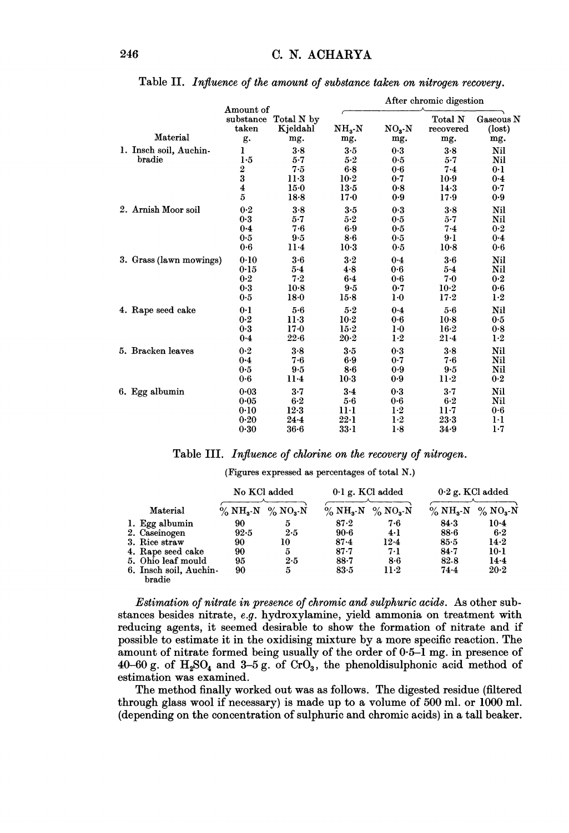|                                  |                                 |                        | After chromic digestion |              |           |              |
|----------------------------------|---------------------------------|------------------------|-------------------------|--------------|-----------|--------------|
|                                  | Amount of<br>substance<br>taken | Total N by<br>Kjeldahl | $\rm NH_3\text{-}N$     |              | Total N   | Gaseous N    |
| Material                         |                                 |                        |                         | $NO_3$ - $N$ | recovered | $($ lost $)$ |
|                                  | g.                              | mg.                    | mg.                     | mg.          | mg.       | mg.          |
| 1. Insch soil, Auchin-<br>bradie | ı                               | 3.8                    | 3.5                     | 0.3          | $3 - 8$   | Nil          |
|                                  | 1.5                             | $5 - 7$                | 5.2                     | 0.5          | $5-7$     | Nil          |
|                                  | $\frac{2}{3}$                   | 7.5                    | $6 - 8$                 | 0.6          | $7-4$     | 0.1          |
|                                  |                                 | $11-3$                 | $10-2$                  | 0.7          | $10-9$    | 0.4          |
|                                  | $\frac{4}{5}$                   | $15-0$                 | $13-5$                  | 0.8          | $14-3$    | 0.7          |
|                                  |                                 | $18-8$                 | $17 - 0$                | 0.9          | 17.9      | 0.9          |
| 2. Arnish Moor soil              | 0.2                             | $3-8$                  | 3.5                     | 0.3          | 3.8       | Nil          |
|                                  | 0.3                             | $5 - 7$                | $5-2$                   | 0.5          | $5-7$     | Nil          |
|                                  | $0 - 4$                         | 7.6                    | 6.9                     | 0.5          | 7.4       | 0.2          |
|                                  | 0.5                             | 9.5                    | 8.6                     | 0.5          | $9-1$     | $0 - 4$      |
|                                  | 0.6                             | $11-4$                 | $10-3$                  | 0.5          | $10-8$    | 0.6          |
| 3. Grass (lawn mowings)          | 0.10                            | $3 - 6$                | $3 - 2$                 | 0.4          | $3 - 6$   | Nil          |
|                                  | 0.15                            | $5 - 4$                | 4.8                     | 0.6          | $5-4$     | Nil          |
|                                  | 0.2                             | 7.2                    | $6 - 4$                 | 0.6          | 7.0       | 0.2          |
|                                  | 0.3                             | $10-8$                 | 9.5                     | 0.7          | $10-2$    | 0.6          |
|                                  | 0.5                             | $18-0$                 | $15-8$                  | $1-0$        | $17 - 2$  | $1-2$        |
| 4. Rape seed cake                | 0 <sup>1</sup>                  | $5 - 6$                | $5 - 2$                 | 0.4          | $5-6$     | Nil          |
|                                  | 0.2                             | $11-3$                 | $10-2$                  | 0.6          | $10-8$    | 0.5          |
|                                  | 0.3                             | $17 - 0$               | $15-2$                  | $1-0$        | $16 - 2$  | 0.8          |
|                                  | 0.4                             | 22.6                   | $20 - 2$                | $1-2$        | $21-4$    | $1-2$        |
| 5. Bracken leaves                | 0.2                             | 3.8                    | $3-5$                   | 0.3          | $3 - 8$   | Nil          |
|                                  | 0.4                             | 7.6                    | 6.9                     | 0.7          | 7.6       | Nil          |
|                                  | 0.5                             | 9.5                    | $8 - 6$                 | 0.9          | 9.5       | Nil          |
|                                  | $0-6$                           | $11-4$                 | $10-3$                  | 0.9          | $11-2$    | 0.2          |
| 6. Egg albumin                   | 0.03                            | 3.7                    | $3 - 4$                 | 0.3          | $3 - 7$   | Nil          |
|                                  | 0.05                            | $6-2$                  | 5.6                     | 0.6          | $6-2$     | Nil          |
|                                  | 0.10                            | 12.3                   | 11·1                    | 1·2          | $11-7$    | 0.6          |
|                                  | 0.20                            | $24 - 4$               | $22 \cdot 1$            | $1-2$        | $23-3$    | 1·1          |
|                                  | 0.30                            | $36 - 6$               | $33-1$                  | 1.8          | 34.9      | $1-7$        |

## Table II. Influence of the amount of substance taken on nitrogen recovery.

Table III. Influence of chlorine on the recovery of nitrogen.

(Figures expressed as percentages of total N.)

|  |                                  | No KCl added            |                         | $0.1$ g. KCl added      |                         | $0.2$ g. KCl added      |                         |
|--|----------------------------------|-------------------------|-------------------------|-------------------------|-------------------------|-------------------------|-------------------------|
|  | Material                         | $\%$ NH <sub>3</sub> -N | $\%$ NO <sub>3</sub> -N | $\%$ NH <sub>3</sub> -N | $\%$ NO <sub>3</sub> -N | $\%$ NH <sub>3</sub> -N | $\%$ NO <sub>3</sub> -N |
|  | 1. Egg albumin                   | 90                      | 5                       | $87 - 2$                | 7.6                     | 84.3                    | $10 - 4$                |
|  | 2. Caseinogen                    | 92.5                    | $2 - 5$                 | $90-6$                  | 4·1                     | $88 - 6$                | $6-2$                   |
|  | 3. Rice straw                    | 90                      | 10                      | $87 - 4$                | $12-4$                  | $85-5$                  | $14-2$                  |
|  | 4. Rape seed cake                | 90                      | 5                       | $87 - 7$                | 7.1                     | $84 - 7$                | $10-1$                  |
|  | 5. Ohio leaf mould               | 95                      | 2.5                     | $88 - 7$                | 8.6                     | 82.8                    | 14.4                    |
|  | 6. Insch soil, Auchin-<br>bradie | 90                      | 5                       | 83.5                    | $11-2$                  | 74.4                    | $20 - 2$                |

Estimation of nitrate in presence of chromic and sulphuric acids. As other substances besides nitrate, e.g. hydroxylamine, yield ammonia on treatment with reducing agents, it seemed desirable to show the formation of nitrate and if possible to estimate it in the oxidising mixture by a more specific reaction. The amount of nitrate formed being usually of the order of  $0.5-1$  mg. in presence of 40-60 g. of  $H_2SO_4$  and 3-5 g. of  $CrO_3$ , the phenoldisulphonic acid method of estimation was examined.

The method finally worked out was as follows. The digested residue (filtered through glass wool if necessary) is made up to a volume of 500 ml. or 1000 ml. (depending on the concentration of sulphuric and chromic acids) in a tall beaker.